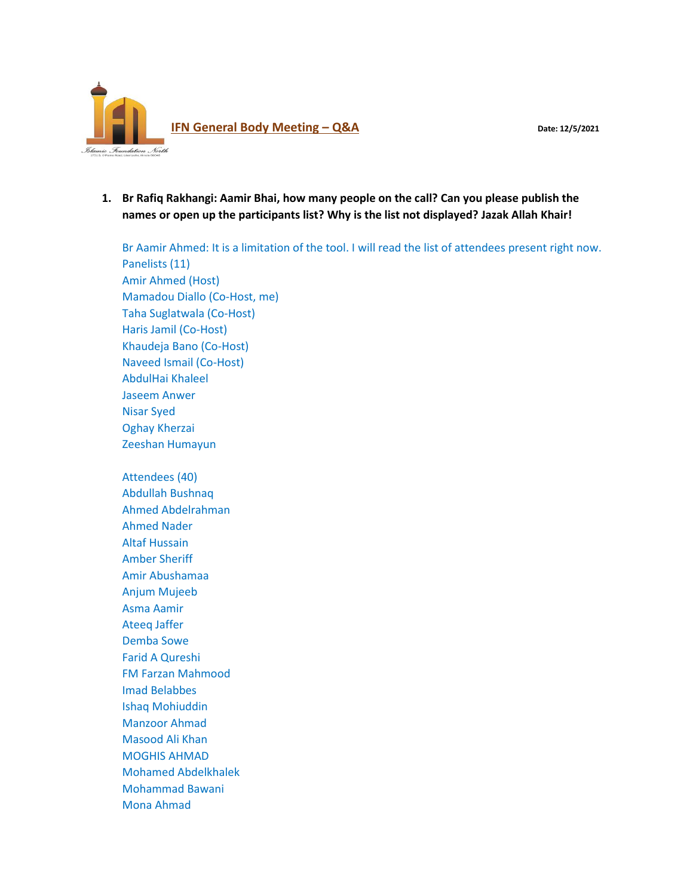

**1. Br Rafiq Rakhangi: Aamir Bhai, how many people on the call? Can you please publish the names or open up the participants list? Why is the list not displayed? Jazak Allah Khair!**

Br Aamir Ahmed: It is a limitation of the tool. I will read the list of attendees present right now. Panelists (11) Amir Ahmed (Host) Mamadou Diallo (Co-Host, me) Taha Suglatwala (Co-Host) Haris Jamil (Co-Host) Khaudeja Bano (Co-Host) Naveed Ismail (Co-Host) AbdulHai Khaleel Jaseem Anwer Nisar Syed Oghay Kherzai Zeeshan Humayun Attendees (40) Abdullah Bushnaq Ahmed Abdelrahman Ahmed Nader Altaf Hussain Amber Sheriff Amir Abushamaa Anjum Mujeeb Asma Aamir Ateeq Jaffer Demba Sowe Farid A Qureshi FM Farzan Mahmood Imad Belabbes Ishaq Mohiuddin Manzoor Ahmad Masood Ali Khan MOGHIS AHMAD

Mohamed Abdelkhalek Mohammad Bawani

Mona Ahmad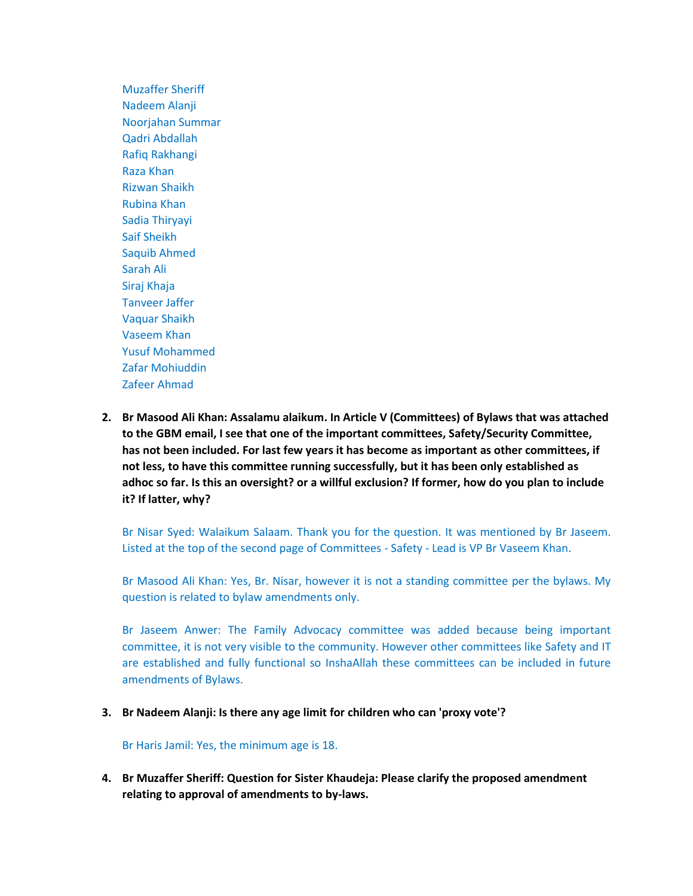Muzaffer Sheriff Nadeem Alanji Noorjahan Summar Qadri Abdallah Rafiq Rakhangi Raza Khan Rizwan Shaikh Rubina Khan Sadia Thiryayi Saif Sheikh Saquib Ahmed Sarah Ali Siraj Khaja Tanveer Jaffer Vaquar Shaikh Vaseem Khan Yusuf Mohammed Zafar Mohiuddin Zafeer Ahmad

**2. Br Masood Ali Khan: Assalamu alaikum. In Article V (Committees) of Bylaws that was attached to the GBM email, I see that one of the important committees, Safety/Security Committee, has not been included. For last few years it has become as important as other committees, if not less, to have this committee running successfully, but it has been only established as adhoc so far. Is this an oversight? or a willful exclusion? If former, how do you plan to include it? If latter, why?**

Br Nisar Syed: Walaikum Salaam. Thank you for the question. It was mentioned by Br Jaseem. Listed at the top of the second page of Committees - Safety - Lead is VP Br Vaseem Khan.

Br Masood Ali Khan: Yes, Br. Nisar, however it is not a standing committee per the bylaws. My question is related to bylaw amendments only.

Br Jaseem Anwer: The Family Advocacy committee was added because being important committee, it is not very visible to the community. However other committees like Safety and IT are established and fully functional so InshaAllah these committees can be included in future amendments of Bylaws.

**3. Br Nadeem Alanji: Is there any age limit for children who can 'proxy vote'?**

Br Haris Jamil: Yes, the minimum age is 18.

**4. Br Muzaffer Sheriff: Question for Sister Khaudeja: Please clarify the proposed amendment relating to approval of amendments to by-laws.**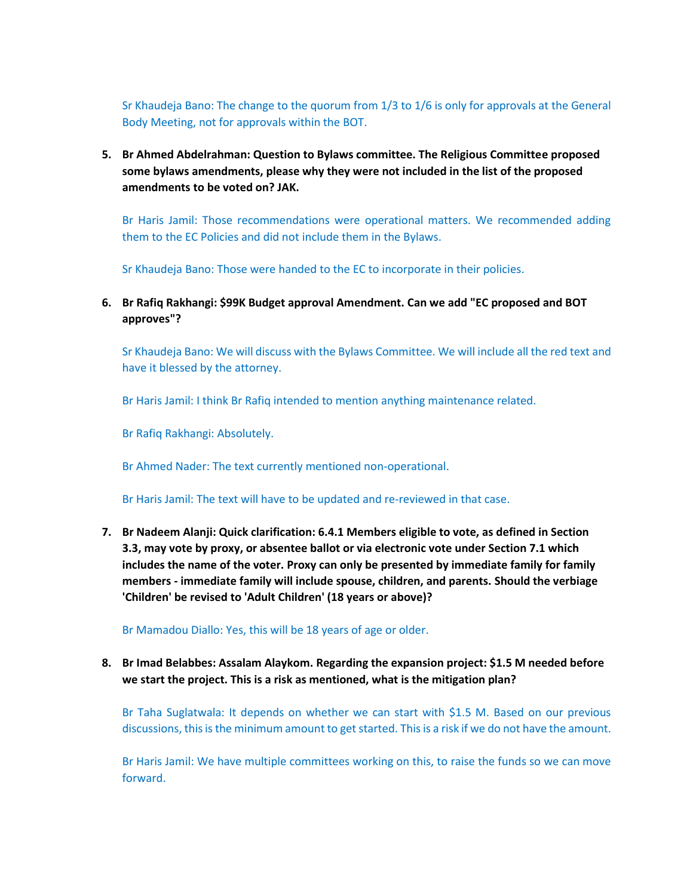Sr Khaudeja Bano: The change to the quorum from 1/3 to 1/6 is only for approvals at the General Body Meeting, not for approvals within the BOT.

**5. Br Ahmed Abdelrahman: Question to Bylaws committee. The Religious Committee proposed some bylaws amendments, please why they were not included in the list of the proposed amendments to be voted on? JAK.**

Br Haris Jamil: Those recommendations were operational matters. We recommended adding them to the EC Policies and did not include them in the Bylaws.

Sr Khaudeja Bano: Those were handed to the EC to incorporate in their policies.

**6. Br Rafiq Rakhangi: \$99K Budget approval Amendment. Can we add "EC proposed and BOT approves"?**

Sr Khaudeja Bano: We will discuss with the Bylaws Committee. We will include all the red text and have it blessed by the attorney.

Br Haris Jamil: I think Br Rafiq intended to mention anything maintenance related.

Br Rafiq Rakhangi: Absolutely.

Br Ahmed Nader: The text currently mentioned non-operational.

Br Haris Jamil: The text will have to be updated and re-reviewed in that case.

**7. Br Nadeem Alanji: Quick clarification: 6.4.1 Members eligible to vote, as defined in Section 3.3, may vote by proxy, or absentee ballot or via electronic vote under Section 7.1 which includes the name of the voter. Proxy can only be presented by immediate family for family members - immediate family will include spouse, children, and parents. Should the verbiage 'Children' be revised to 'Adult Children' (18 years or above)?**

Br Mamadou Diallo: Yes, this will be 18 years of age or older.

**8. Br Imad Belabbes: Assalam Alaykom. Regarding the expansion project: \$1.5 M needed before we start the project. This is a risk as mentioned, what is the mitigation plan?**

Br Taha Suglatwala: It depends on whether we can start with \$1.5 M. Based on our previous discussions, this is the minimum amount to get started. This is a risk if we do not have the amount.

Br Haris Jamil: We have multiple committees working on this, to raise the funds so we can move forward.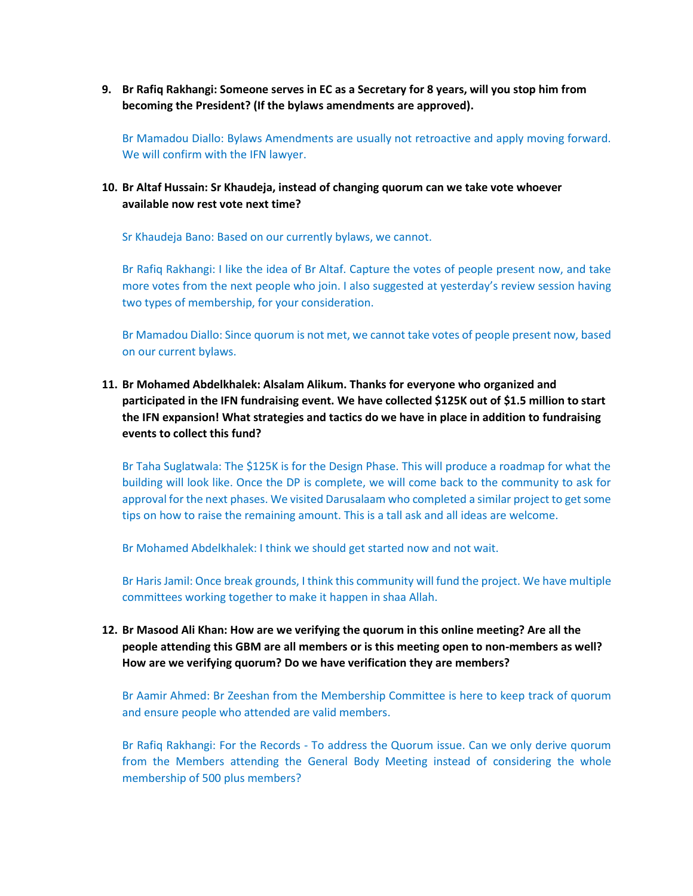**9. Br Rafiq Rakhangi: Someone serves in EC as a Secretary for 8 years, will you stop him from becoming the President? (If the bylaws amendments are approved).**

Br Mamadou Diallo: Bylaws Amendments are usually not retroactive and apply moving forward. We will confirm with the IFN lawyer.

### **10. Br Altaf Hussain: Sr Khaudeja, instead of changing quorum can we take vote whoever available now rest vote next time?**

Sr Khaudeja Bano: Based on our currently bylaws, we cannot.

Br Rafiq Rakhangi: I like the idea of Br Altaf. Capture the votes of people present now, and take more votes from the next people who join. I also suggested at yesterday's review session having two types of membership, for your consideration.

Br Mamadou Diallo: Since quorum is not met, we cannot take votes of people present now, based on our current bylaws.

# **11. Br Mohamed Abdelkhalek: Alsalam Alikum. Thanks for everyone who organized and participated in the IFN fundraising event. We have collected \$125K out of \$1.5 million to start the IFN expansion! What strategies and tactics do we have in place in addition to fundraising events to collect this fund?**

Br Taha Suglatwala: The \$125K is for the Design Phase. This will produce a roadmap for what the building will look like. Once the DP is complete, we will come back to the community to ask for approval for the next phases. We visited Darusalaam who completed a similar project to get some tips on how to raise the remaining amount. This is a tall ask and all ideas are welcome.

Br Mohamed Abdelkhalek: I think we should get started now and not wait.

Br Haris Jamil: Once break grounds, I think this community will fund the project. We have multiple committees working together to make it happen in shaa Allah.

## **12. Br Masood Ali Khan: How are we verifying the quorum in this online meeting? Are all the people attending this GBM are all members or is this meeting open to non-members as well? How are we verifying quorum? Do we have verification they are members?**

Br Aamir Ahmed: Br Zeeshan from the Membership Committee is here to keep track of quorum and ensure people who attended are valid members.

Br Rafiq Rakhangi: For the Records - To address the Quorum issue. Can we only derive quorum from the Members attending the General Body Meeting instead of considering the whole membership of 500 plus members?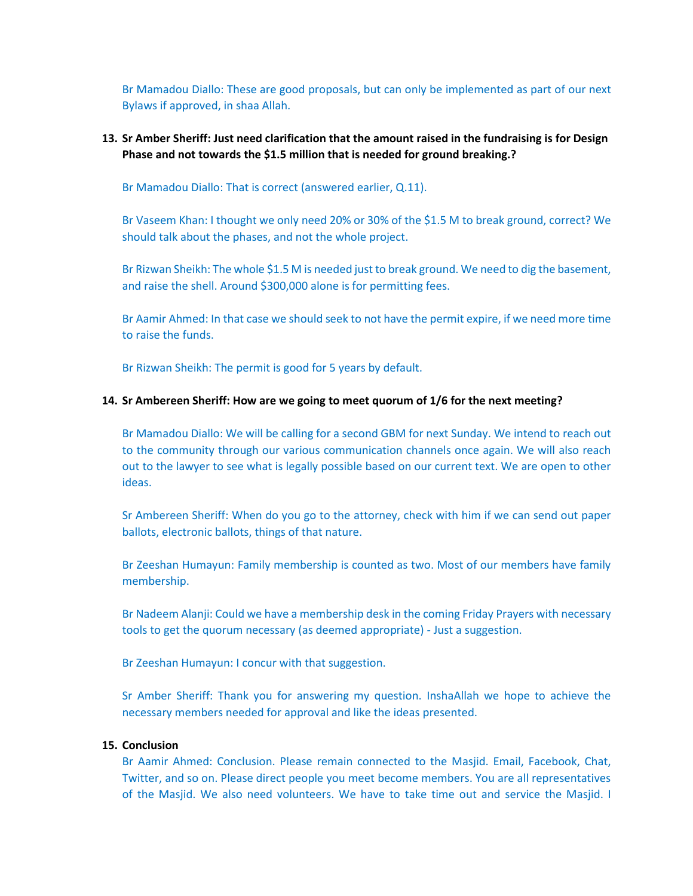Br Mamadou Diallo: These are good proposals, but can only be implemented as part of our next Bylaws if approved, in shaa Allah.

### **13. Sr Amber Sheriff: Just need clarification that the amount raised in the fundraising is for Design Phase and not towards the \$1.5 million that is needed for ground breaking.?**

Br Mamadou Diallo: That is correct (answered earlier, Q.11).

Br Vaseem Khan: I thought we only need 20% or 30% of the \$1.5 M to break ground, correct? We should talk about the phases, and not the whole project.

Br Rizwan Sheikh: The whole \$1.5 M is needed just to break ground. We need to dig the basement, and raise the shell. Around \$300,000 alone is for permitting fees.

Br Aamir Ahmed: In that case we should seek to not have the permit expire, if we need more time to raise the funds.

Br Rizwan Sheikh: The permit is good for 5 years by default.

#### **14. Sr Ambereen Sheriff: How are we going to meet quorum of 1/6 for the next meeting?**

Br Mamadou Diallo: We will be calling for a second GBM for next Sunday. We intend to reach out to the community through our various communication channels once again. We will also reach out to the lawyer to see what is legally possible based on our current text. We are open to other ideas.

Sr Ambereen Sheriff: When do you go to the attorney, check with him if we can send out paper ballots, electronic ballots, things of that nature.

Br Zeeshan Humayun: Family membership is counted as two. Most of our members have family membership.

Br Nadeem Alanji: Could we have a membership desk in the coming Friday Prayers with necessary tools to get the quorum necessary (as deemed appropriate) - Just a suggestion.

Br Zeeshan Humayun: I concur with that suggestion.

Sr Amber Sheriff: Thank you for answering my question. InshaAllah we hope to achieve the necessary members needed for approval and like the ideas presented.

#### **15. Conclusion**

Br Aamir Ahmed: Conclusion. Please remain connected to the Masjid. Email, Facebook, Chat, Twitter, and so on. Please direct people you meet become members. You are all representatives of the Masjid. We also need volunteers. We have to take time out and service the Masjid. I